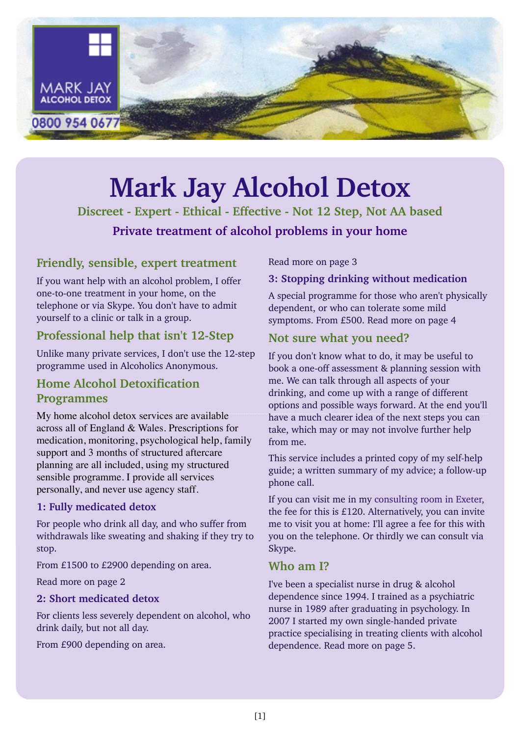

## **Mark Jay Alcohol Detox**

**Discreet - Expert - Ethical - Effective - Not 12 Step, Not AA based Private treatment of alcohol problems in your home**

### **Friendly, sensible, expert treatment**

If you want help with an alcohol problem, I offer one-to-one treatment in your home, on the telephone or via Skype. You don't have to admit yourself to a clinic or talk in a group.

## **Professional help that isn't 12-Step**

Unlike many private services, I don't use the 12-step programme used in Alcoholics Anonymous.

## **Home Alcohol Detoxification Programmes**

My home alcohol detox services are available across all of England & Wales. Prescriptions for medication, monitoring, psychological help, family support and 3 months of structured aftercare planning are all included, using my structured sensible programme. I provide all services personally, and never use agency staff.

#### **1: Fully medicated detox**

For people who drink all day, and who suffer from withdrawals like sweating and shaking if they try to stop.

From £1500 to £2900 depending on area.

Read more on page 2

#### **2: Short medicated detox**

For clients less severely dependent on alcohol, who drink daily, but not all day.

From £900 depending on area.

Read more on page 3

#### **3: Stopping drinking without medication**

A special programme for those who aren't physically dependent, or who can tolerate some mild symptoms. From £500. Read more on page 4

## **Not sure what you need?**

If you don't know what to do, it may be useful to book a one-off assessment & planning session with me. We can talk through all aspects of your drinking, and come up with a range of different options and possible ways forward. At the end you'll have a much clearer idea of the next steps you can take, which may or may not involve further help from me.

This service includes a printed copy of my self-help guide; a written summary of my advice; a follow-up phone call.

If you can visit me in my [consulting room in Exeter](http://www.markjayalcoholdetox.co.uk/exeter.php), the fee for this is £120. Alternatively, you can invite me to visit you at home: I'll agree a fee for this with you on the telephone. Or thirdly we can consult via Skype.

### **Who am I?**

I've been a specialist nurse in drug & alcohol dependence since 1994. I trained as a psychiatric nurse in 1989 after graduating in psychology. In 2007 I started my own single-handed private practice specialising in treating clients with alcohol dependence. Read more on page 5.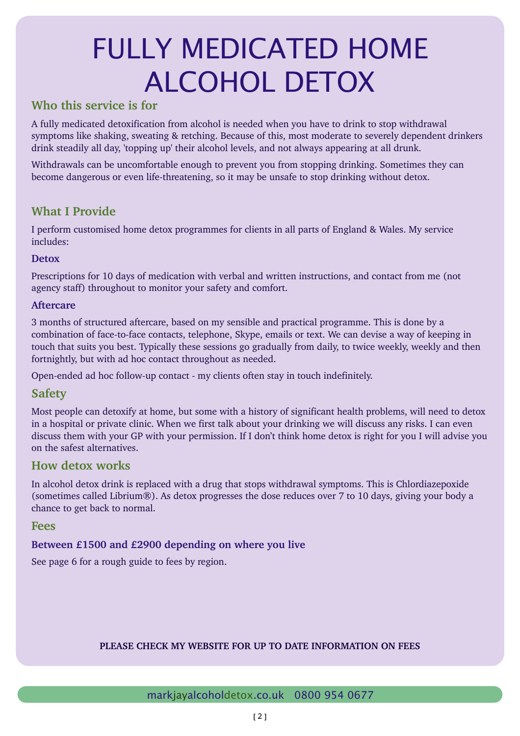## FULLY MEDICATED HOME ALCOHOL DETOX

## **Who this service is for**

A fully medicated detoxification from alcohol is needed when you have to drink to stop withdrawal symptoms like shaking, sweating & retching. Because of this, most moderate to severely dependent drinkers drink steadily all day, 'topping up' their alcohol levels, and not always appearing at all drunk.

Withdrawals can be uncomfortable enough to prevent you from stopping drinking. Sometimes they can become dangerous or even life-threatening, so it may be unsafe to stop drinking without detox.

## **What I Provide**

I perform customised home detox programmes for clients in all parts of England & Wales. My service includes:

#### **Detox**

Prescriptions for 10 days of medication with verbal and written instructions, and contact from me (not agency staff) throughout to monitor your safety and comfort.

#### **Aftercare**

3 months of structured aftercare, based on my sensible and practical programme. This is done by a combination of face-to-face contacts, telephone, Skype, emails or text. We can devise a way of keeping in touch that suits you best. Typically these sessions go gradually from daily, to twice weekly, weekly and then fortnightly, but with ad hoc contact throughout as needed.

Open-ended ad hoc follow-up contact - my clients often stay in touch indefinitely.

### **Safety**

Most people can detoxify at home, but some with a history of significant health problems, will need to detox in a hospital or private clinic. When we first talk about your drinking we will discuss any risks. I can even discuss them with your GP with your permission. If I don't think home detox is right for you I will advise you on the safest alternatives.

### **How detox works**

In alcohol detox drink is replaced with a drug that stops withdrawal symptoms. This is Chlordiazepoxide (sometimes called Librium®). As detox progresses the dose reduces over 7 to 10 days, giving your body a chance to get back to normal.

#### **Fees**

#### **Between £1500 and £2900 depending on where you live**

See page 6 for a rough guide to fees by region.

#### **PLEASE CHECK MY WEBSITE FOR UP TO DATE INFORMATION ON FEES**

#### markjayalcoholdetox.co.uk 0800 954 0677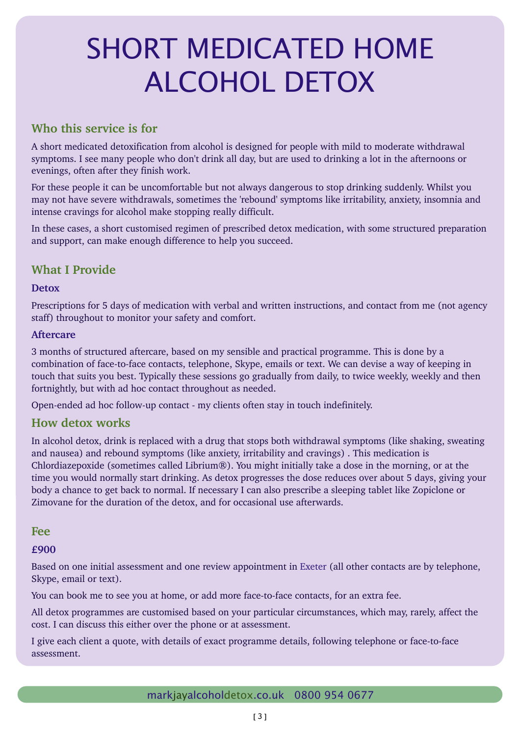## SHORT MEDICATED HOME ALCOHOL DETOX

## **Who this service is for**

A short medicated detoxification from alcohol is designed for people with mild to moderate withdrawal symptoms. I see many people who don't drink all day, but are used to drinking a lot in the afternoons or evenings, often after they finish work.

For these people it can be uncomfortable but not always dangerous to stop drinking suddenly. Whilst you may not have severe withdrawals, sometimes the 'rebound' symptoms like irritability, anxiety, insomnia and intense cravings for alcohol make stopping really difficult.

In these cases, a short customised regimen of prescribed detox medication, with some structured preparation and support, can make enough difference to help you succeed.

## **What I Provide**

#### **Detox**

Prescriptions for 5 days of medication with verbal and written instructions, and contact from me (not agency staff) throughout to monitor your safety and comfort.

#### **Aftercare**

3 months of structured aftercare, based on my sensible and practical programme. This is done by a combination of face-to-face contacts, telephone, Skype, emails or text. We can devise a way of keeping in touch that suits you best. Typically these sessions go gradually from daily, to twice weekly, weekly and then fortnightly, but with ad hoc contact throughout as needed.

Open-ended ad hoc follow-up contact - my clients often stay in touch indefinitely.

## **How detox works**

In alcohol detox, drink is replaced with a drug that stops both withdrawal symptoms (like shaking, sweating and nausea) and rebound symptoms (like anxiety, irritability and cravings) . This medication is Chlordiazepoxide (sometimes called Librium®). You might initially take a dose in the morning, or at the time you would normally start drinking. As detox progresses the dose reduces over about 5 days, giving your body a chance to get back to normal. If necessary I can also prescribe a sleeping tablet like Zopiclone or Zimovane for the duration of the detox, and for occasional use afterwards.

#### **Fee**

#### **£900**

Based on one initial assessment and one review appointment in Exeter (all other contacts are by telephone, Skype, email or text).

You can book me to see you at home, or add more face-to-face contacts, for an extra fee.

All detox programmes are customised based on your particular circumstances, which may, rarely, affect the cost. I can discuss this either over the phone or at assessment.

I give each client a quote, with details of exact programme details, following telephone or face-to-face assessment.

markjayalcoholdetox.co.uk 0800 954 0677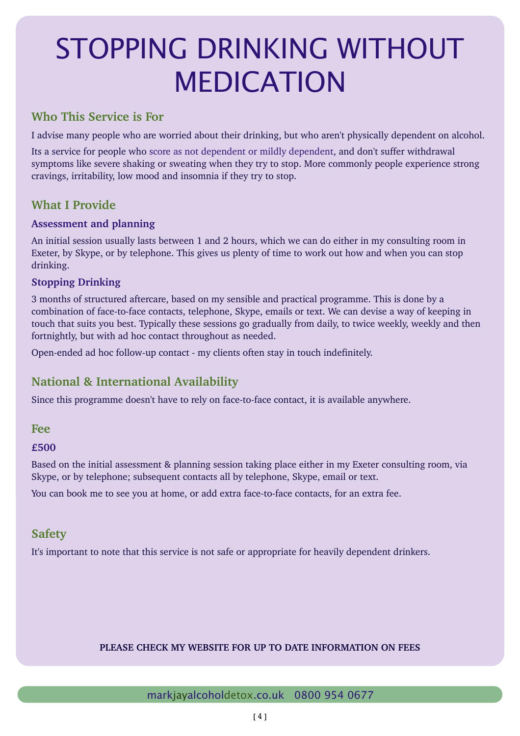## STOPPING DRINKING WITHOUT MEDICATION

## **Who This Service is For**

I advise many people who are worried about their drinking, but who aren't physically dependent on alcohol.

Its a service for people who score as not dependent or mildly dependent, and don't suffer withdrawal symptoms like severe shaking or sweating when they try to stop. More commonly people experience strong cravings, irritability, low mood and insomnia if they try to stop.

## **What I Provide**

#### **Assessment and planning**

An initial session usually lasts between 1 and 2 hours, which we can do either in my consulting room in Exeter, by Skype, or by telephone. This gives us plenty of time to work out how and when you can stop drinking.

#### **Stopping Drinking**

3 months of structured aftercare, based on my sensible and practical programme. This is done by a combination of face-to-face contacts, telephone, Skype, emails or text. We can devise a way of keeping in touch that suits you best. Typically these sessions go gradually from daily, to twice weekly, weekly and then fortnightly, but with ad hoc contact throughout as needed.

Open-ended ad hoc follow-up contact - my clients often stay in touch indefinitely.

## **National & International Availability**

Since this programme doesn't have to rely on face-to-face contact, it is available anywhere.

### **Fee**

**£500** 

Based on the initial assessment & planning session taking place either in my Exeter consulting room, via Skype, or by telephone; subsequent contacts all by telephone, Skype, email or text.

You can book me to see you at home, or add extra face-to-face contacts, for an extra fee.

## **Safety**

It's important to note that this service is not safe or appropriate for heavily dependent drinkers.

#### **PLEASE CHECK MY WEBSITE FOR UP TO DATE INFORMATION ON FEES**

#### markjayalcoholdetox.co.uk 0800 954 0677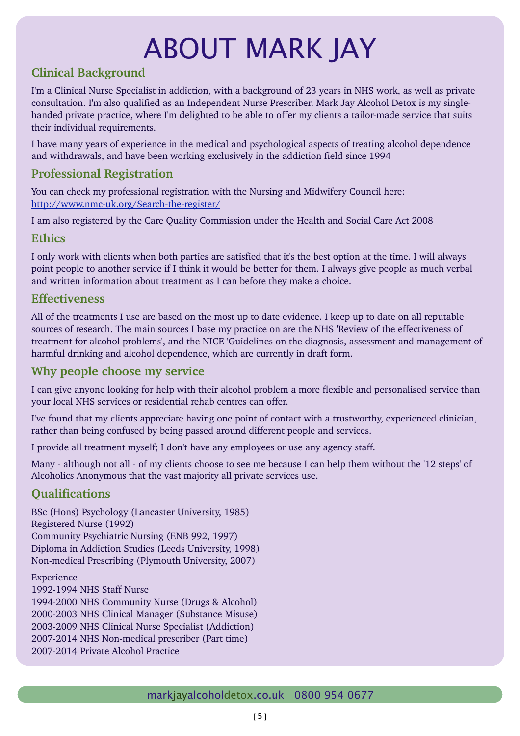# ABOUT MARK JAY

## **Clinical Background**

I'm a Clinical Nurse Specialist in addiction, with a background of 23 years in NHS work, as well as private consultation. I'm also qualified as an Independent Nurse Prescriber. Mark Jay Alcohol Detox is my singlehanded private practice, where I'm delighted to be able to offer my clients a tailor-made service that suits their individual requirements.

I have many years of experience in the medical and psychological aspects of treating alcohol dependence and withdrawals, and have been working exclusively in the addiction field since 1994

## **Professional Registration**

You can check my professional registration with the Nursing and Midwifery Council here: http://www.nmc-uk.org/Search-the-register/

I am also registered by the Care Quality Commission under the Health and Social Care Act 2008

## **Ethics**

I only work with clients when both parties are satisfied that it's the best option at the time. I will always point people to another service if I think it would be better for them. I always give people as much verbal and written information about treatment as I can before they make a choice.

## **Effectiveness**

All of the treatments I use are based on the most up to date evidence. I keep up to date on all reputable sources of research. The main sources I base my practice on are the NHS 'Review of the effectiveness of treatment for alcohol problems', and the NICE 'Guidelines on the diagnosis, assessment and management of harmful drinking and alcohol dependence, which are currently in draft form.

## **Why people choose my service**

I can give anyone looking for help with their alcohol problem a more flexible and personalised service than your local NHS services or residential rehab centres can offer.

I've found that my clients appreciate having one point of contact with a trustworthy, experienced clinician, rather than being confused by being passed around different people and services.

I provide all treatment myself; I don't have any employees or use any agency staff.

Many - although not all - of my clients choose to see me because I can help them without the '12 steps' of Alcoholics Anonymous that the vast majority all private services use.

## **Qualifications**

BSc (Hons) Psychology (Lancaster University, 1985) Registered Nurse (1992) Community Psychiatric Nursing (ENB 992, 1997) Diploma in Addiction Studies (Leeds University, 1998) Non-medical Prescribing (Plymouth University, 2007)

Experience 1992-1994 NHS Staff Nurse 1994-2000 NHS Community Nurse (Drugs & Alcohol) 2000-2003 NHS Clinical Manager (Substance Misuse) 2003-2009 NHS Clinical Nurse Specialist (Addiction) 2007-2014 NHS Non-medical prescriber (Part time) 2007-2014 Private Alcohol Practice